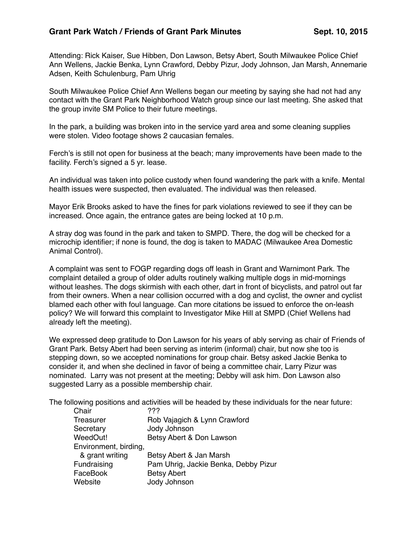## Grant Park Watch / Friends of Grant Park Minutes Sept. 10, 2015

Attending: Rick Kaiser, Sue Hibben, Don Lawson, Betsy Abert, South Milwaukee Police Chief Ann Wellens, Jackie Benka, Lynn Crawford, Debby Pizur, Jody Johnson, Jan Marsh, Annemarie Adsen, Keith Schulenburg, Pam Uhrig

South Milwaukee Police Chief Ann Wellens began our meeting by saying she had not had any contact with the Grant Park Neighborhood Watch group since our last meeting. She asked that the group invite SM Police to their future meetings.

In the park, a building was broken into in the service yard area and some cleaning supplies were stolen. Video footage shows 2 caucasian females.

Ferch's is still not open for business at the beach; many improvements have been made to the facility. Ferch's signed a 5 yr. lease.

An individual was taken into police custody when found wandering the park with a knife. Mental health issues were suspected, then evaluated. The individual was then released.

Mayor Erik Brooks asked to have the fines for park violations reviewed to see if they can be increased. Once again, the entrance gates are being locked at 10 p.m.

A stray dog was found in the park and taken to SMPD. There, the dog will be checked for a microchip identifier; if none is found, the dog is taken to MADAC (Milwaukee Area Domestic Animal Control).

A complaint was sent to FOGP regarding dogs off leash in Grant and Warnimont Park. The complaint detailed a group of older adults routinely walking multiple dogs in mid-mornings without leashes. The dogs skirmish with each other, dart in front of bicyclists, and patrol out far from their owners. When a near collision occurred with a dog and cyclist, the owner and cyclist blamed each other with foul language. Can more citations be issued to enforce the on-leash policy? We will forward this complaint to Investigator Mike Hill at SMPD (Chief Wellens had already left the meeting).

We expressed deep gratitude to Don Lawson for his years of ably serving as chair of Friends of Grant Park. Betsy Abert had been serving as interim (informal) chair, but now she too is stepping down, so we accepted nominations for group chair. Betsy asked Jackie Benka to consider it, and when she declined in favor of being a committee chair, Larry Pizur was nominated. Larry was not present at the meeting; Debby will ask him. Don Lawson also suggested Larry as a possible membership chair.

The following positions and activities will be headed by these individuals for the near future:

| Chair                 | 777                                  |
|-----------------------|--------------------------------------|
| Treasurer             | Rob Vajagich & Lynn Crawford         |
| Secretary             | Jody Johnson                         |
| WeedOut!              | Betsy Abert & Don Lawson             |
| Environment, birding, |                                      |
| & grant writing       | Betsy Abert & Jan Marsh              |
| Fundraising           | Pam Uhrig, Jackie Benka, Debby Pizur |
| FaceBook              | <b>Betsy Abert</b>                   |
| Website               | Jody Johnson                         |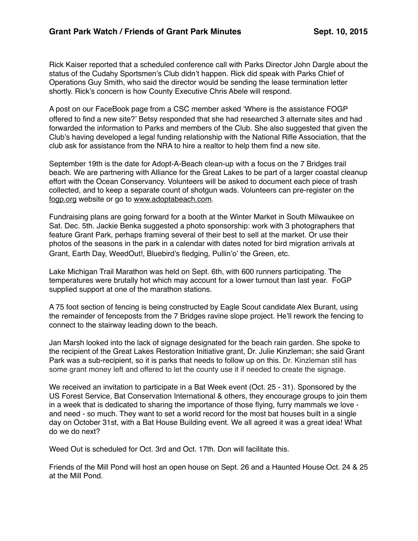Rick Kaiser reported that a scheduled conference call with Parks Director John Dargle about the status of the Cudahy Sportsmen's Club didn't happen. Rick did speak with Parks Chief of Operations Guy Smith, who said the director would be sending the lease termination letter shortly. Rick's concern is how County Executive Chris Abele will respond.

A post on our FaceBook page from a CSC member asked 'Where is the assistance FOGP offered to find a new site?' Betsy responded that she had researched 3 alternate sites and had forwarded the information to Parks and members of the Club. She also suggested that given the Club's having developed a legal funding relationship with the National Rifle Association, that the club ask for assistance from the NRA to hire a realtor to help them find a new site.

September 19th is the date for Adopt-A-Beach clean-up with a focus on the 7 Bridges trail beach. We are partnering with Alliance for the Great Lakes to be part of a larger coastal cleanup effort with the Ocean Conservancy. Volunteers will be asked to document each piece of trash collected, and to keep a separate count of shotgun wads. Volunteers can pre-register on the [fogp.org](http://fogp.org) website or go to [www.adoptabeach.com.](http://www.adoptabeach.com)

Fundraising plans are going forward for a booth at the Winter Market in South Milwaukee on Sat. Dec. 5th. Jackie Benka suggested a photo sponsorship: work with 3 photographers that feature Grant Park, perhaps framing several of their best to sell at the market. Or use their photos of the seasons in the park in a calendar with dates noted for bird migration arrivals at Grant, Earth Day, WeedOut!, Bluebird's fledging, Pullin'o' the Green, etc.

Lake Michigan Trail Marathon was held on Sept. 6th, with 600 runners participating. The temperatures were brutally hot which may account for a lower turnout than last year. FoGP supplied support at one of the marathon stations.

A 75 foot section of fencing is being constructed by Eagle Scout candidate Alex Burant, using the remainder of fenceposts from the 7 Bridges ravine slope project. He'll rework the fencing to connect to the stairway leading down to the beach.

Jan Marsh looked into the lack of signage designated for the beach rain garden. She spoke to the recipient of the Great Lakes Restoration Initiative grant, Dr. Julie Kinzleman; she said Grant Park was a sub-recipient, so it is parks that needs to follow up on this. Dr. Kinzleman still has some grant money left and offered to let the county use it if needed to create the signage.

We received an invitation to participate in a Bat Week event (Oct. 25 - 31). Sponsored by the US Forest Service, Bat Conservation International & others, they encourage groups to join them in a week that is dedicated to sharing the importance of those flying, furry mammals we love and need - so much. They want to set a world record for the most bat houses built in a single day on October 31st, with a Bat House Building event. We all agreed it was a great idea! What do we do next?

Weed Out is scheduled for Oct. 3rd and Oct. 17th. Don will facilitate this.

Friends of the Mill Pond will host an open house on Sept. 26 and a Haunted House Oct. 24 & 25 at the Mill Pond.